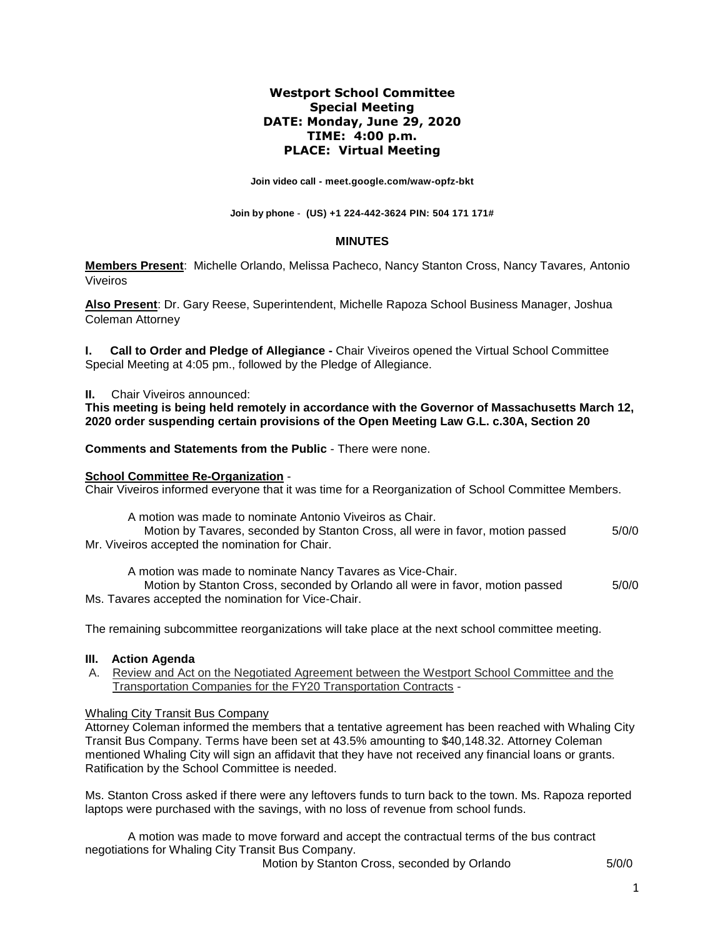# **Westport School Committee Special Meeting DATE: Monday, June 29, 2020 TIME: 4:00 p.m. PLACE: Virtual Meeting**

**Join video call - meet.google.com/waw-opfz-bkt**

**Join by phone - (US) +1 224-442-3624 PIN: 504 171 171#**

## **MINUTES**

**Members Present**: Michelle Orlando, Melissa Pacheco, Nancy Stanton Cross, Nancy Tavares*,* Antonio Viveiros

**Also Present**: Dr. Gary Reese, Superintendent, Michelle Rapoza School Business Manager, Joshua Coleman Attorney

**I. Call to Order and Pledge of Allegiance -** Chair Viveiros opened the Virtual School Committee Special Meeting at 4:05 pm., followed by the Pledge of Allegiance.

#### **II.** Chair Viveiros announced:

**This meeting is being held remotely in accordance with the Governor of Massachusetts March 12, 2020 order suspending certain provisions of the Open Meeting Law G.L. c.30A, Section 20**

**Comments and Statements from the Public** - There were none.

## **School Committee Re-Organization** -

Chair Viveiros informed everyone that it was time for a Reorganization of School Committee Members.

A motion was made to nominate Antonio Viveiros as Chair.

Motion by Tavares, seconded by Stanton Cross, all were in favor, motion passed  $5/0/0$ Mr. Viveiros accepted the nomination for Chair.

A motion was made to nominate Nancy Tavares as Vice-Chair.

Motion by Stanton Cross, seconded by Orlando all were in favor, motion passed  $5/0/0$ Ms. Tavares accepted the nomination for Vice-Chair.

The remaining subcommittee reorganizations will take place at the next school committee meeting.

## **III. Action Agenda**

A. Review and Act on the Negotiated Agreement between the Westport School Committee and the Transportation Companies for the FY20 Transportation Contracts -

## Whaling City Transit Bus Company

Attorney Coleman informed the members that a tentative agreement has been reached with Whaling City Transit Bus Company. Terms have been set at 43.5% amounting to \$40,148.32. Attorney Coleman mentioned Whaling City will sign an affidavit that they have not received any financial loans or grants. Ratification by the School Committee is needed.

Ms. Stanton Cross asked if there were any leftovers funds to turn back to the town. Ms. Rapoza reported laptops were purchased with the savings, with no loss of revenue from school funds.

A motion was made to move forward and accept the contractual terms of the bus contract negotiations for Whaling City Transit Bus Company.

Motion by Stanton Cross, seconded by Orlando 5/0/0